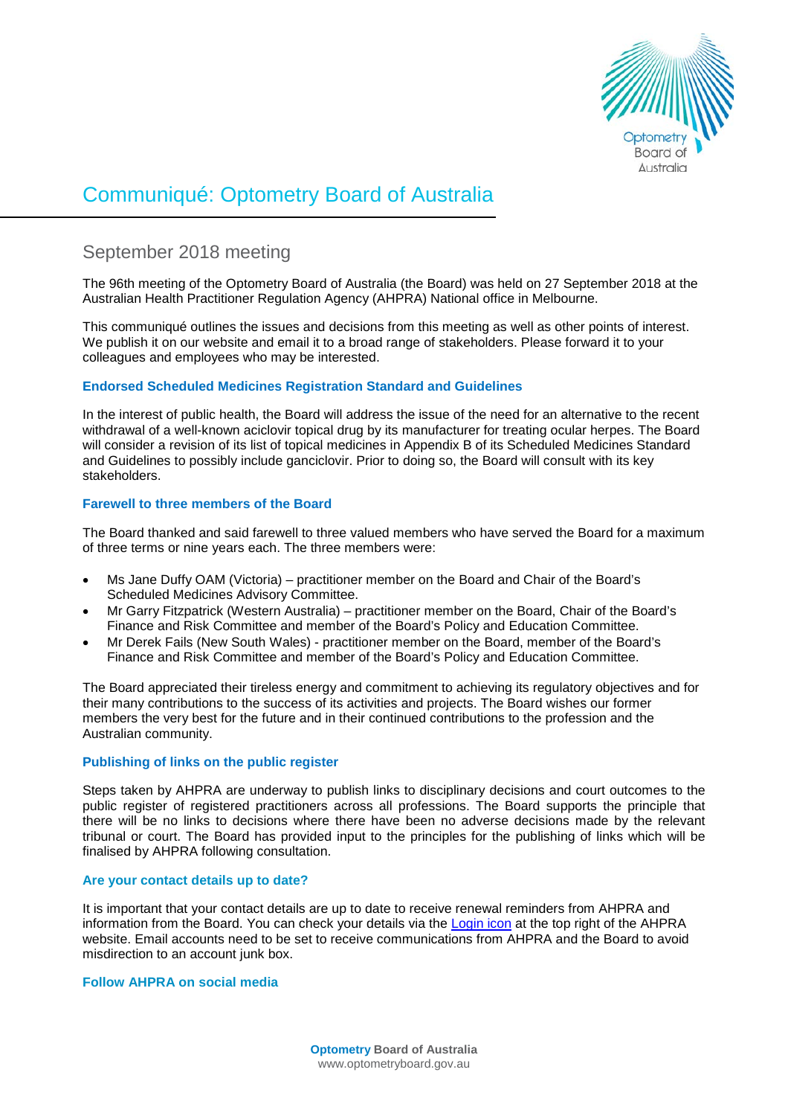

# Communiqué: Optometry Board of Australia

# September 2018 meeting

The 96th meeting of the Optometry Board of Australia (the Board) was held on 27 September 2018 at the Australian Health Practitioner Regulation Agency (AHPRA) National office in Melbourne.

This communiqué outlines the issues and decisions from this meeting as well as other points of interest. We publish it on our website and email it to a broad range of stakeholders. Please forward it to your colleagues and employees who may be interested.

# **Endorsed Scheduled Medicines Registration Standard and Guidelines**

In the interest of public health, the Board will address the issue of the need for an alternative to the recent withdrawal of a well-known aciclovir topical drug by its manufacturer for treating ocular herpes. The Board will consider a revision of its list of topical medicines in Appendix B of its Scheduled Medicines Standard and Guidelines to possibly include ganciclovir. Prior to doing so, the Board will consult with its key stakeholders.

# **Farewell to three members of the Board**

The Board thanked and said farewell to three valued members who have served the Board for a maximum of three terms or nine years each. The three members were:

- Ms Jane Duffy OAM (Victoria) practitioner member on the Board and Chair of the Board's Scheduled Medicines Advisory Committee.
- Mr Garry Fitzpatrick (Western Australia) practitioner member on the Board, Chair of the Board's Finance and Risk Committee and member of the Board's Policy and Education Committee.
- Mr Derek Fails (New South Wales) practitioner member on the Board, member of the Board's Finance and Risk Committee and member of the Board's Policy and Education Committee.

The Board appreciated their tireless energy and commitment to achieving its regulatory objectives and for their many contributions to the success of its activities and projects. The Board wishes our former members the very best for the future and in their continued contributions to the profession and the Australian community.

# **Publishing of links on the public register**

Steps taken by AHPRA are underway to publish links to disciplinary decisions and court outcomes to the public register of registered practitioners across all professions. The Board supports the principle that there will be no links to decisions where there have been no adverse decisions made by the relevant tribunal or court. The Board has provided input to the principles for the publishing of links which will be finalised by AHPRA following consultation.

#### **Are your contact details up to date?**

It is important that your contact details are up to date to receive renewal reminders from AHPRA and information from the Board. You can check your details via the [Login icon](https://www.ahpra.gov.au/) at the top right of the AHPRA website. Email accounts need to be set to receive communications from AHPRA and the Board to avoid misdirection to an account junk box.

#### **Follow AHPRA on social media**